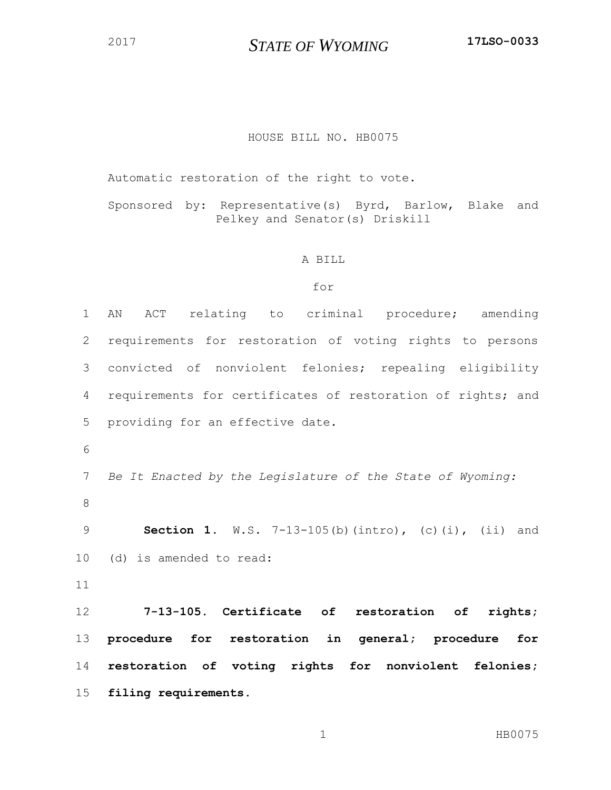*STATE OF WYOMING* **17LSO-0033**

## HOUSE BILL NO. HB0075

Automatic restoration of the right to vote.

Sponsored by: Representative(s) Byrd, Barlow, Blake and Pelkey and Senator(s) Driskill

## A BILL

## for

 AN ACT relating to criminal procedure; amending requirements for restoration of voting rights to persons convicted of nonviolent felonies; repealing eligibility requirements for certificates of restoration of rights; and providing for an effective date. *Be It Enacted by the Legislature of the State of Wyoming:* **Section 1.** W.S. 7-13-105(b)(intro), (c)(i), (ii) and (d) is amended to read: **7-13-105. Certificate of restoration of rights; procedure for restoration in general; procedure for restoration of voting rights for nonviolent felonies; filing requirements.**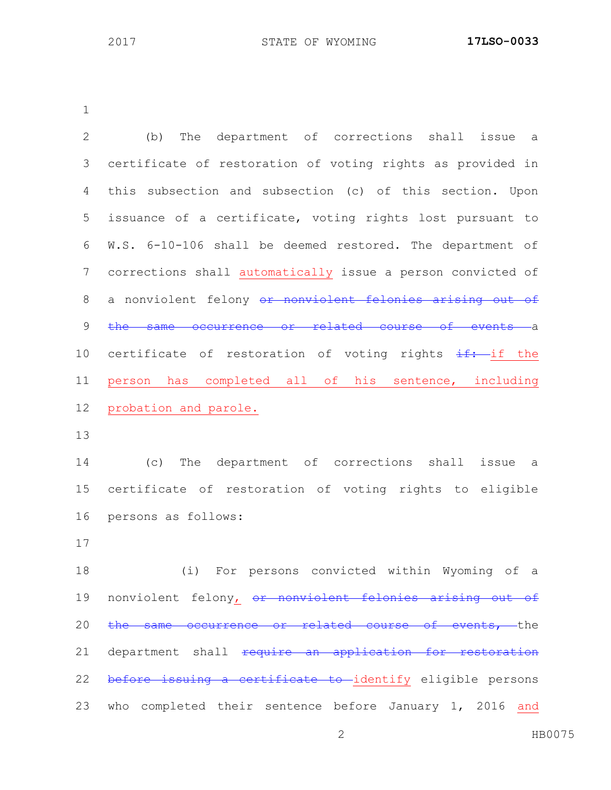| $\overline{2}$ | The department of corrections shall issue a<br>(b)                 |
|----------------|--------------------------------------------------------------------|
| 3              | certificate of restoration of voting rights as provided in         |
| 4              | this subsection and subsection (c) of this section. Upon           |
| 5              | issuance of a certificate, voting rights lost pursuant to          |
| 6              | W.S. 6-10-106 shall be deemed restored. The department of          |
| 7              | corrections shall automatically issue a person convicted of        |
| $\,8\,$        | a nonviolent felony or nonviolent felonies arising out of          |
| 9              | occurrence or related course of events a<br>the same               |
| 10             | certificate of restoration of voting rights $\frac{1}{2}$ : if the |
| 11             | person has completed all of his sentence, including                |
| 12             | probation and parole.                                              |
| 13             |                                                                    |
| 14             | The department of corrections shall issue<br>(C)<br>a              |
| 15             | certificate of restoration of voting rights to eligible            |
| 16             | persons as follows:                                                |
| 17             |                                                                    |
| 18             | (i) For persons convicted within Wyoming of a                      |
| 19             | nonviolent felony, or nonviolent felonies arising out of           |
| 20             | the same occurrence or related course of events, the               |
| 21             | department shall require an application for restoration            |
| 22             | before issuing a certificate to identify eligible persons          |
| 23             | who completed their sentence before January 1, 2016 and            |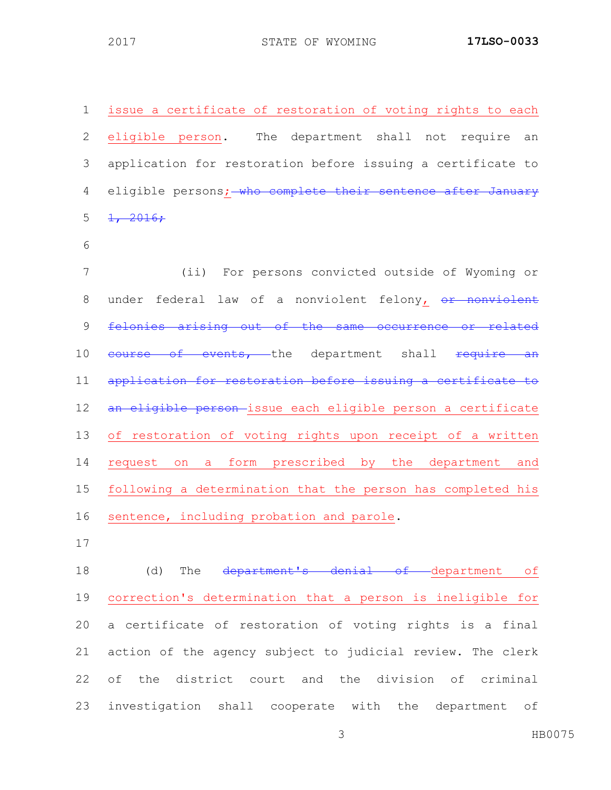issue a certificate of restoration of voting rights to each eligible person. The department shall not require an application for restoration before issuing a certificate to 4 eligible persons; who complete their sentence after January  $5 \frac{1}{2016}$ ; (ii) For persons convicted outside of Wyoming or 8 under federal law of a nonviolent felony, or nonviolent 9 felonies arising out of the same occurrence or related 10 course of events, the department shall require an application for restoration before issuing a certificate to 12 an eligible person-issue each eligible person a certificate of restoration of voting rights upon receipt of a written request on a form prescribed by the department and following a determination that the person has completed his

- sentence, including probation and parole.
- 

18 (d) The department's denial of department of correction's determination that a person is ineligible for a certificate of restoration of voting rights is a final action of the agency subject to judicial review. The clerk of the district court and the division of criminal investigation shall cooperate with the department of